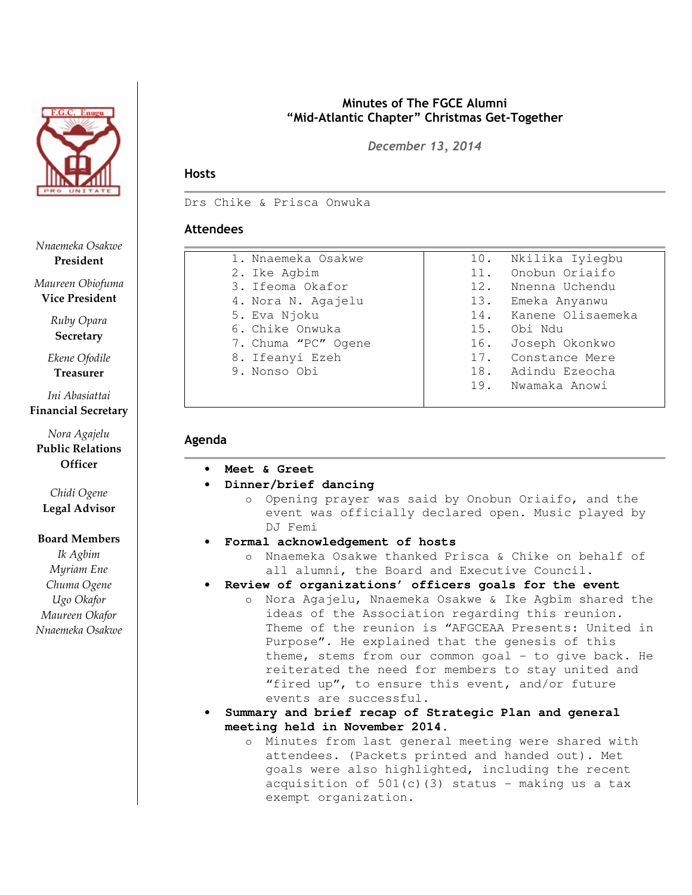

Nnaemeka Osakwe President

Maureen Obiofuma Vice President

> Ruby Opara **Secretary**

Ekene Ofodile Treasurer

Ini Abasiattai Financial Secretary

Nora Agajelu Public Relations **Officer** 

Chidi Ogene Legal Advisor

#### Board Members

Ik Agbim Myriam Ene Chuma Ogene Ugo Okafor Maureen Okafor Nnaemeka Osakwe

## Minutes of The FGCE Alumni "Mid-Atlantic Chapter" Christmas Get-Together

December 13, 2014

# **Hosts**

Drs Chike & Prisca Onwuka

# Attendees

| 1. Nnaemeka Osakwe  | Nkilika Iyiegbu<br>10.   |
|---------------------|--------------------------|
| 2. Ike Agbim        | Onobun Oriaifo<br>11.    |
| 3. Ifeoma Okafor    | 12.<br>Nnenna Uchendu    |
| 4. Nora N. Agajelu  | 13.<br>Emeka Anyanwu     |
| 5. Eva Njoku        | Kanene Olisaemeka<br>14. |
| 6. Chike Onwuka     | Obi Ndu<br>15.           |
| 7. Chuma "PC" Ogene | 16.<br>Joseph Okonkwo    |
| 8. Ifeanyi Ezeh     | 17.<br>Constance Mere    |
| 9. Nonso Obi        | 18. Adindu Ezeocha       |
|                     | 19.<br>Nwamaka Anowi     |
|                     |                          |

### Agenda

- **Meet & Greet**
- **Dinner/brief dancing** 
	- o Opening prayer was said by Onobun Oriaifo, and the event was officially declared open. Music played by DJ Femi
- **Formal acknowledgement of hosts**
	- o Nnaemeka Osakwe thanked Prisca & Chike on behalf of all alumni, the Board and Executive Council.
- **Review of organizations' officers goals for the event** 
	- o Nora Agajelu, Nnaemeka Osakwe & Ike Agbim shared the ideas of the Association regarding this reunion. Theme of the reunion is "AFGCEAA Presents: United in Purpose". He explained that the genesis of this theme, stems from our common goal  $-$  to give back. He reiterated the need for members to stay united and "fired up", to ensure this event, and/or future events are successful.
- **Summary and brief recap of Strategic Plan and general meeting held in November 2014.**
	- o Minutes from last general meeting were shared with attendees. (Packets printed and handed out). Met goals were also highlighted, including the recent acquisition of  $501(c)$ (3) status - making us a tax exempt organization.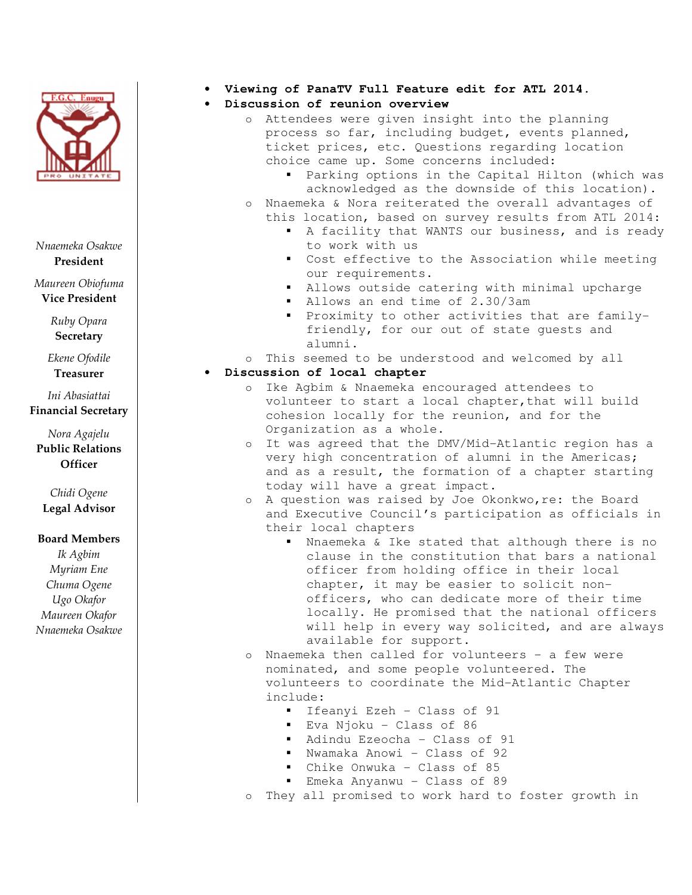

Nnaemeka Osakwe President

Maureen Obiofuma Vice President

> Ruby Opara **Secretary**

Ekene Ofodile Treasurer

Ini Abasiattai Financial Secretary

Nora Agajelu Public Relations **Officer** 

Chidi Ogene Legal Advisor

### Board Members

Ik Agbim Myriam Ene Chuma Ogene Ugo Okafor Maureen Okafor Nnaemeka Osakwe

- **Viewing of PanaTV Full Feature edit for ATL 2014.**
- **Discussion of reunion overview** 
	- o Attendees were given insight into the planning process so far, including budget, events planned, ticket prices, etc. Questions regarding location choice came up. Some concerns included:
		- Parking options in the Capital Hilton (which was acknowledged as the downside of this location).
	- o Nnaemeka & Nora reiterated the overall advantages of
		- this location, based on survey results from ATL 2014: A facility that WANTS our business, and is ready to work with us
			- Cost effective to the Association while meeting our requirements.
			- Allows outside catering with minimal upcharge
			- Allows an end time of 2.30/3am
			- Proximity to other activities that are familyfriendly, for our out of state guests and alumni.
	- o This seemed to be understood and welcomed by all

# • **Discussion of local chapter**

- o Ike Agbim & Nnaemeka encouraged attendees to volunteer to start a local chapter, that will build cohesion locally for the reunion, and for the Organization as a whole.
- o It was agreed that the DMV/Mid-Atlantic region has a very high concentration of alumni in the Americas; and as a result, the formation of a chapter starting today will have a great impact.
- o A question was raised by Joe Okonkwo,re: the Board and Executive Council's participation as officials in their local chapters
	- Nnaemeka & Ike stated that although there is no clause in the constitution that bars a national officer from holding office in their local chapter, it may be easier to solicit nonofficers, who can dedicate more of their time locally. He promised that the national officers will help in every way solicited, and are always available for support.
- o Nnaemeka then called for volunteers a few were nominated, and some people volunteered. The volunteers to coordinate the Mid-Atlantic Chapter include:
	- Ifeanyi Ezeh Class of 91
	- Eva Njoku Class of 86
	- Adindu Ezeocha Class of 91
	- Nwamaka Anowi Class of 92
	- Chike Onwuka Class of 85
	- Emeka Anyanwu Class of 89
- o They all promised to work hard to foster growth in